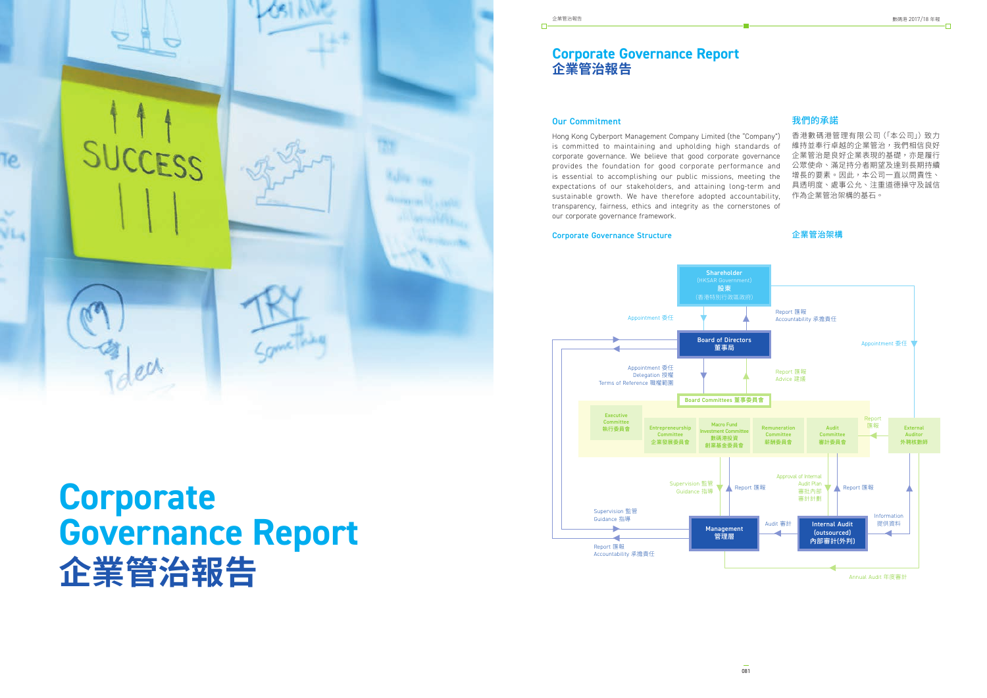

# **Corporate Governance Report 企業管治報告**

 $\Box$ 

## **Corporate Governance Report 企業管治報告**

## Our Commitment

Hong Kong Cyberport Management Company Limited (the "Company") is committed to maintaining and upholding high standards of corporate governance. We believe that good corporate governance provides the foundation for good corporate performance and is essential to accomplishing our public missions, meeting the expectations of our stakeholders, and attaining long-term and sustainable growth. We have therefore adopted accountability, transparency, fairness, ethics and integrity as the cornerstones of our corporate governance framework.

#### Corporate Governance Structure

## 我們的承諾

香港數碼港管理有限公司(「本公司」)致力 維持並奉行卓越的企業管治,我們相信良好 企業管治是良好企業表現的基礎,亦是履行 公眾使命、滿足持分者期望及達到長期持續 增長的要素。因此,本公司一直以問責性、 具透明度、處事公允、注重道德操守及誠信 作為企業管治架構的基石。

#### 企業管治架構



Annual Audit 年度審計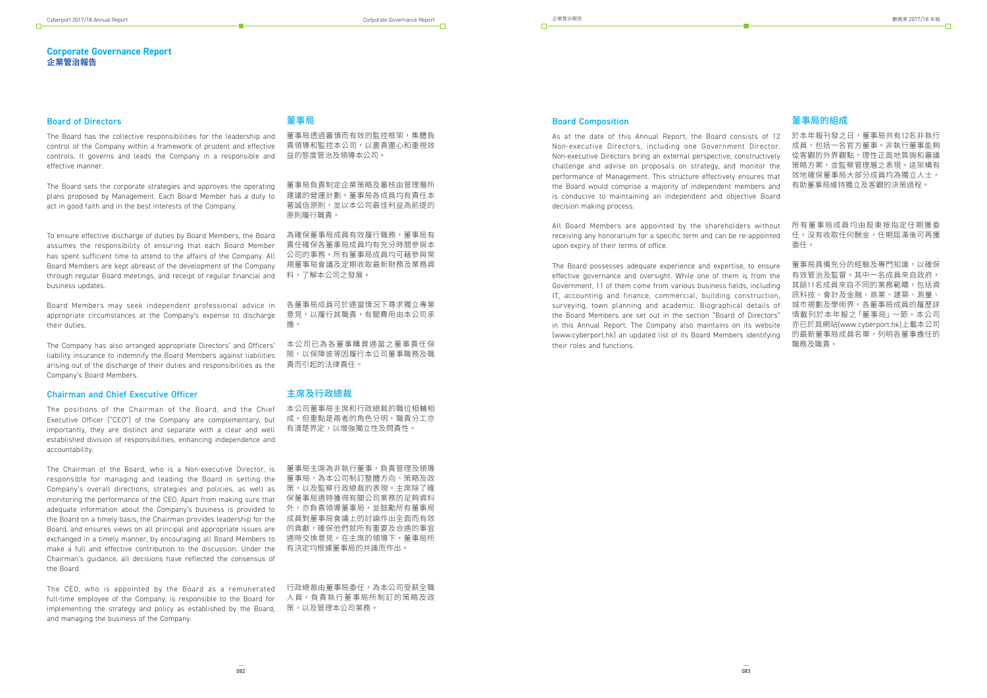#### **Corporate Governance Report 企業管治報告**

## 董事局

董事局透過審慎而有效的監控框架,集體負 責領導和監控本公司,以盡責盡心和重視效 益的態度管治及領導本公司。

董事局負責制定企業策略及審核由管理層所 建議的營運計劃。董事局各成員均有責任本 著誠信原則,並以本公司最佳利益為前提的 原則履行職責。

為確保董事局成員有效履行職務,董事局有 責任確保各董事局成員均有充分時間參與本 公司的事務。所有董事局成員均可藉參與常 規董事局會議及定期收取最新財務及業務資 料,了解本公司之發展。

各董事局成員可於適當情況下尋求獨立專業 意見,以履行其職責,有關費用由本公司承 擔。

本公司已為各董事購買適當之董事責任保 險,以保障彼等因履行本公司董事職務及職 責而引起的法律責任。

#### 主席及行政總裁

本公司董事局主席和行政總裁的職位相輔相 成,但重點是兩者的角色分明,職責分工亦 有清楚界定,以增強獨立性及問責性。

董事局主席為非執行董事,負責管理及領導 董事局,為本公司制訂整體方向、策略及政 策,以及監察行政總裁的表現。主席除了確 保董事局適時獲得有關公司業務的足夠資料 成員對董事局會議上的討論作出全面而有效 的貢獻,確保他們就所有重要及合適的事宜 適時交換意見。在主席的領導下,董事局所 有決定均根據董事局的共識而作出。

行政總裁由董事局委任,為本公司受薪全職 人員,負責執行董事局所制訂的策略及政

#### Board of Directors

The Board has the collective responsibilities for the leadership and control of the Company within a framework of prudent and effective controls. It governs and leads the Company in a responsible and effective manner.

The Board sets the corporate strategies and approves the operating plans proposed by Management. Each Board Member has a duty to act in good faith and in the best interests of the Company.

To ensure effective discharge of duties by Board Members, the Board assumes the responsibility of ensuring that each Board Member has spent sufficient time to attend to the affairs of the Company. All Board Members are kept abreast of the development of the Company through regular Board meetings, and receipt of regular financial and business updates.

adequate information about the Company's business is provided to 外,亦負貢領導重事局,並鼓勵所有重事局 The Chairman of the Board, who is a Non-executive Director, is responsible for managing and leading the Board in setting the Company's overall directions, strategies and policies, as well as monitoring the performance of the CEO. Apart from making sure that the Board on a timely basis, the Chairman provides leadership for the Board, and ensures views on all principal and appropriate issues are exchanged in a timely manner, by encouraging all Board Members to make a full and effective contribution to the discussion. Under the Chairman's guidance, all decisions have reflected the consensus of the Board.

implementing the strategy and policy as established by the Board, 策,以及管埋本公司業務。 The CEO, who is appointed by the Board as a remunerated full-time employee of the Company, is responsible to the Board for and managing the business of the Company.

Board Members may seek independent professional advice in appropriate circumstances at the Company's expense to discharge their duties.

The Company has also arranged appropriate Directors' and Officers' liability insurance to indemnify the Board Members against liabilities arising out of the discharge of their duties and responsibilities as the Company's Board Members.

#### Chairman and Chief Executive Officer

The positions of the Chairman of the Board, and the Chief Executive Officer ("CEO") of the Company are complementary, but importantly, they are distinct and separate with a clear and well established division of responsibilities, enhancing independence and accountability.

## 董事局的組成

#### Board Composition

於本年報刊發之日,董事局共有12名非執行 成員,包括一名官方董事。非執行董事能夠 從客觀的外界觀點,理性正面地質詢和審議 策略方案,並監察管理層之表現。這架構有 效地確保董事局大部分成員均為獨立人士, 有助董事局維持獨立及客觀的決策過程。 As at the date of this Annual Report, the Board consists of 12 Non-executive Directors, including one Government Director. Non-executive Directors bring an external perspective, constructively challenge and advise on proposals on strategy, and monitor the performance of Management. This structure effectively ensures that the Board would comprise a majority of independent members and is conducive to maintaining an independent and objective Board decision making process.

所有董事局成員均由股東按指定任期獲委 任,沒有收取任何酬金,任期屆滿後可再獲 委任。 All Board Members are appointed by the shareholders without receiving any honorarium for a specific term and can be re-appointed upon expiry of their terms of office.

董事局具備充分的經驗及專門知識,以確保 有效管治及監督。其中一名成員來自政府, 其餘11名成員來自不同的業務範疇,包括資 訊科技、會計及金融、商業、建築、測量、 城市規劃及學術界。各董事局成員的履歷詳 情載列於本年報之「董事局」一節。本公司 亦已於其網站(www.cyberport.hk)上載本公司 的最新董事局成員名單,列明各董事擔任的 職務及職責。 The Board possesses adequate experience and expertise, to ensure effective governance and oversight. While one of them is from the Government, 11 of them come from various business fields, including IT, accounting and finance, commercial, building construction, surveying, town planning and academic. Biographical details of the Board Members are set out in the section "Board of Directors" in this Annual Report. The Company also maintains on its website (www.cyberport.hk) an updated list of its Board Members identifying their roles and functions.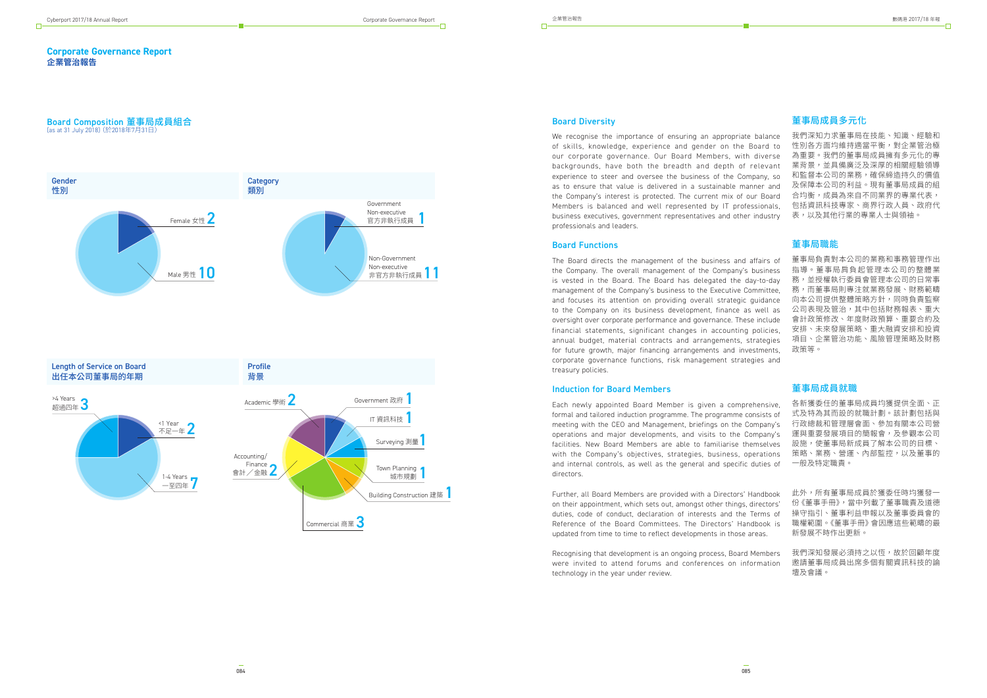Commercial 商業 3

 $\Box$ 

#### **Corporate Governance Report 企業管治報告**

## **Board Composition 董事局成員組合**<br>(as at 31 July 2018) (於2018年7月31日)



## 董事局成員多元化

我們深知力求董事局在技能、知識、經驗和 性別各方面均維持適當平衡,對企業管治極 為重要。我們的董事局成員擁有多元化的專 業背景,並具備廣泛及深厚的相關經驗領導 和監督本公司的業務,確保締造持久的價值 及保障本公司的利益。現有董事局成員的組 合均衡,成員為來自不同業界的專業代表, 包括資訊科技專家、商界行政人員、政府代 表,以及其他行業的專業人士與領袖。

#### 董事局職能

董事局負責對本公司的業務和事務管理作出 指導。董事局肩負起管理本公司的整體業 務,並授權執行委員會管理本公司的日常事 務,而董事局則專注就業務發展、財務範疇 向本公司提供整體策略方針,同時負責監察 公司表現及管治,其中包括財務報表、重大 會計政策修改、年度財政預算、重要合約及 安排、未來發展策略、重大融資安排和投資 項目、企業管治功能、風險管理策略及財務 政策等。

We recognise the importance of ensuring an appropriate balance of skills, knowledge, experience and gender on the Board to our corporate governance. Our Board Members, with diverse backgrounds, have both the breadth and depth of relevant experience to steer and oversee the business of the Company, so as to ensure that value is delivered in a sustainable manner and the Company's interest is protected. The current mix of our Board Members is balanced and well represented by IT professionals, business executives, government representatives and other industry professionals and leaders.

#### 董事局成員就職

各新獲委任的董事局成員均獲提供全面、正 式及特為其而設的就職計劃。該計劃包括與 行政總裁和管理層會面、參加有關本公司營 運與重要發展項目的簡報會,及參觀本公司 設施,使董事局新成員了解本公司的目標、 策略、業務、營運、內部監控,以及董事的 一般及特定職責。

此外,所有董事局成員於獲委任時均獲發一 份《董事手冊》,當中列載了董事職責及道德 操守指引、董事利益申報以及董事委員會的 職權範圍。《董事手冊》會因應這些範疇的最 新發展不時作出更新。

#### Board Diversity

我們深知發展必須持之以恆,故於回顧年度 邀請董事局成員出席多個有關資訊科技的論 壇及會議。 Recognising that development is an ongoing process, Board Members were invited to attend forums and conferences on information technology in the year under review.

#### Board Functions

The Board directs the management of the business and affairs of the Company. The overall management of the Company's business is vested in the Board. The Board has delegated the day-to-day management of the Company's business to the Executive Committee, and focuses its attention on providing overall strategic guidance to the Company on its business development, finance as well as oversight over corporate performance and governance. These include financial statements, significant changes in accounting policies, annual budget, material contracts and arrangements, strategies for future growth, major financing arrangements and investments, corporate governance functions, risk management strategies and treasury policies.

#### Induction for Board Members

Each newly appointed Board Member is given a comprehensive, formal and tailored induction programme. The programme consists of meeting with the CEO and Management, briefings on the Company's operations and major developments, and visits to the Company's facilities. New Board Members are able to familiarise themselves with the Company's objectives, strategies, business, operations and internal controls, as well as the general and specific duties of directors.

Further, all Board Members are provided with a Directors' Handbook on their appointment, which sets out, amongst other things, directors' duties, code of conduct, declaration of interests and the Terms of Reference of the Board Committees. The Directors' Handbook is updated from time to time to reflect developments in those areas.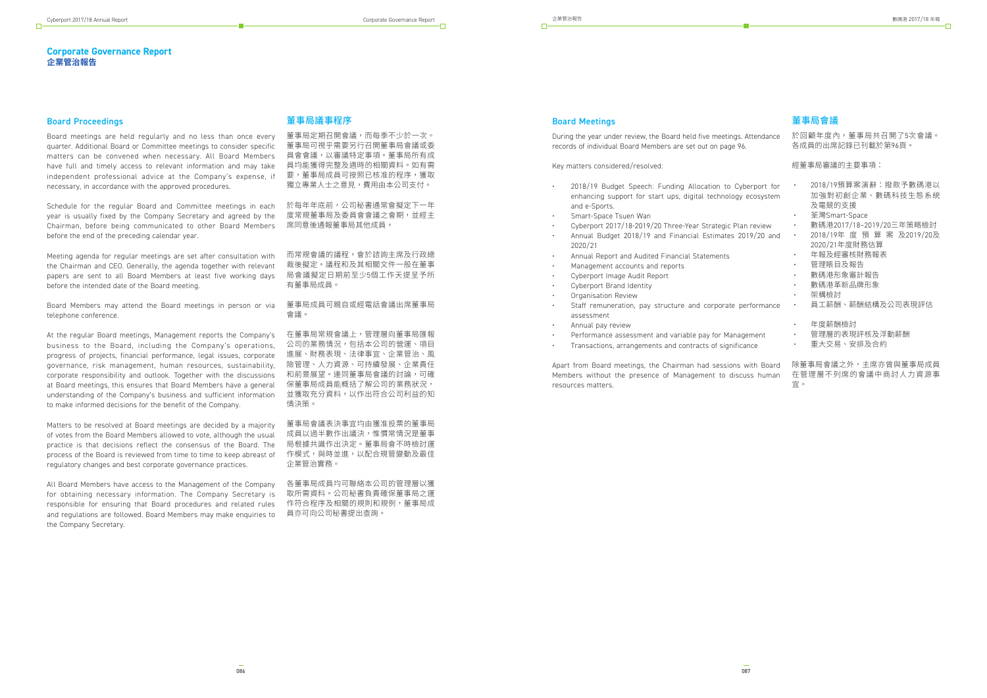#### **Corporate Governance Report 企業管治報告**

## 董事局議事程序

董事局定期召開會議,而每季不少於一次。 董事局可視乎需要另行召開董事局會議或委 員會會議,以審議特定事項。董事局所有成 員均能獲得完整及適時的相關資料。如有需 要,董事局成員可按照已核准的程序,獲取 獨立專業人士之意見,費用由本公司支付。

而常規會議的議程,會於諮詢主席及行政總 裁後擬定。議程和及其相關文件一般在董事 局會議擬定日期前至少5個工作天提呈予所 有董事局成員。

於每年年底前,公司秘書通常會擬定下一年 度常規董事局及委員會會議之會期,並經主 席同意後通報董事局其他成員。

董事局成員可親自或經電話會議出席董事局 會議。

在董事局常規會議上,管理層向董事局匯報 公司的業務情況,包括本公司的營運、項目 進展、財務表現、法律事宜、企業管治、風 險管理、人力資源、可持續發展、企業責任 和前景展望。連同董事局會議的討論,可確 保董事局成員能概括了解公司的業務狀況, 並獲取充分資料,以作出符合公司利益的知 情決策。

董事局會議表決事宜均由獲准投票的董事局 成員以過半數作出議決,惟慣常情況是董事 局根據共識作出決定。董事局會不時檢討運 作模式,與時並進,以配合規管變動及最佳 企業管治實務。

各董事局成員均可聯絡本公司的管理層以獲 取所需資料。公司秘書負責確保董事局之運 作符合程序及相關的規則和規例,董事局成 員亦可向公司秘書提出查詢。

#### Board Proceedings

Board meetings are held regularly and no less than once every quarter. Additional Board or Committee meetings to consider specific matters can be convened when necessary. All Board Members have full and timely access to relevant information and may take independent professional advice at the Company's expense, if necessary, in accordance with the approved procedures.

Schedule for the regular Board and Committee meetings in each year is usually fixed by the Company Secretary and agreed by the Chairman, before being communicated to other Board Members before the end of the preceding calendar year.

Meeting agenda for regular meetings are set after consultation with the Chairman and CEO. Generally, the agenda together with relevant papers are sent to all Board Members at least five working days before the intended date of the Board meeting.

Board Members may attend the Board meetings in person or via telephone conference.

During the year under review, the Board held five meetings. records of individual Board Members are set out on page 96.

At the regular Board meetings, Management reports the Company's business to the Board, including the Company's operations, progress of projects, financial performance, legal issues, corporate governance, risk management, human resources, sustainability, corporate responsibility and outlook. Together with the discussions at Board meetings, this ensures that Board Members have a general understanding of the Company's business and sufficient information to make informed decisions for the benefit of the Company.

Apart from Board meetings, the Chairman had sessions v Members without the presence of Management to discuss human resources matters.

Matters to be resolved at Board meetings are decided by a majority of votes from the Board Members allowed to vote, although the usual practice is that decisions reflect the consensus of the Board. The process of the Board is reviewed from time to time to keep abreast of regulatory changes and best corporate governance practices.

All Board Members have access to the Management of the Company for obtaining necessary information. The Company Secretary is responsible for ensuring that Board procedures and related rules and regulations are followed. Board Members may make enquiries to the Company Secretary.

#### 董事局會議

| Attendance              | 於回顧年度內,董事局共召開了5次會議。<br>各成員的出席記錄已刊載於第96頁。                                                                                           |
|-------------------------|------------------------------------------------------------------------------------------------------------------------------------|
|                         | 經董事局審議的主要事項:                                                                                                                       |
| erport for<br>ecosystem | 2018/19預算案演辭:撥款予數碼港以<br>加強對初創企業、數碼科技生態系統<br>及電競的支援<br>荃灣Smart-Space                                                                |
| review ו<br>19/20 and   | 數碼港2017/18-2019/20三年策略檢討<br>2018/19年 度 預 算 案 及2019/20及<br>2020/21年度財務估算<br>年報及經審核財務報表<br>管理賬目及報告<br>數碼港形象審計報告<br>數碼港革新品牌形象<br>架構檢討 |
| rformance!              | 員工薪酬、薪酬結構及公司表現評估                                                                                                                   |
| ement<br>ince           | 年度薪酬檢討<br>管理層的表現評核及浮動薪酬<br>重大交易、安排及合約<br>$\bullet$                                                                                 |
| with Board<br>iss human | 除董事局會議之外,主席亦曾與董事局成員<br>在管理層不列席的會議中商討人力資源事                                                                                          |

宜。

#### Board Meetings

- 2018/19 Budget Speech: Funding Allocation to Cyb enhancing support for start ups, digital technology and e-Sports.
- Smart-Space Tsuen Wan
- Cyberport 2017/18-2019/20 Three-Year Strategic Plan
- Annual Budget 2018/19 and Financial Estimates 2019 2020/21
- Annual Report and Audited Financial Statements
- Management accounts and reports
- Cyberport Image Audit Report
- Cyberport Brand Identity
- Organisation Review
- Staff remuneration, pay structure and corporate per assessment
- Annual pay review
- Performance assessment and variable pay for Manage
- Transactions, arrangements and contracts of significal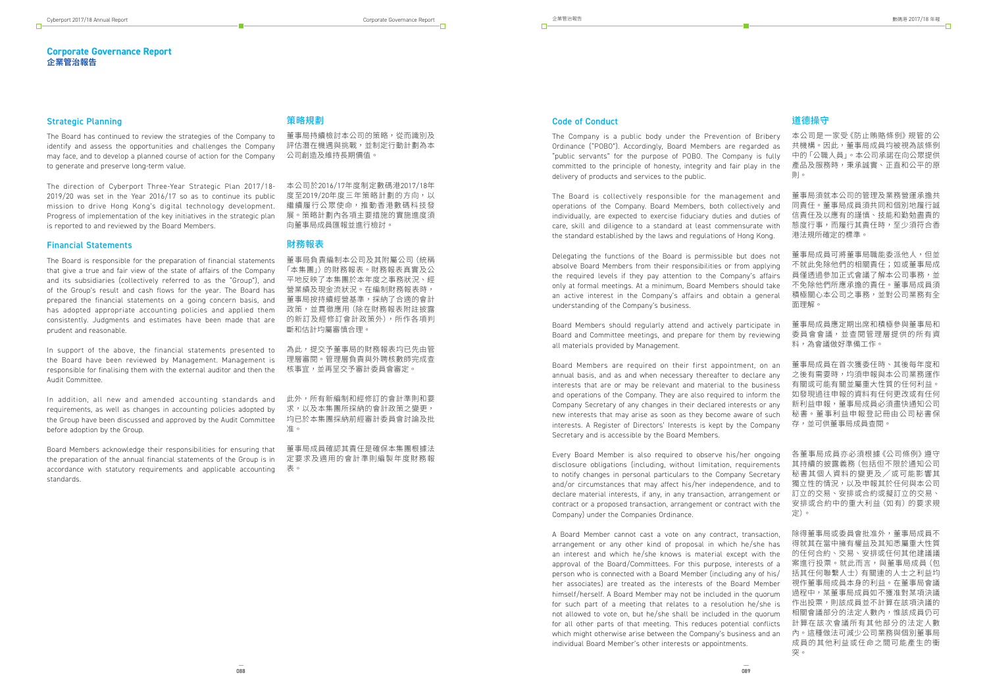#### **Corporate Governance Report 企業管治報告**

### 策略規劃

董事局持續檢討本公司的策略,從而識別及 評估潛在機遇與挑戰,並制定行動計劃為本 公司創造及維持長期價值。

本公司於2016/17年度制定數碼港2017/18年 度至2019/20年度三年策略計劃的方向,以 繼續履行公眾使命,推動香港數碼科技發 展。策略計劃內各項主要措施的實施進度須 向董事局成員匯報並進行檢討。

#### 財務報表

董事局負責編制本公司及其附屬公司(統稱 「本集團」)的財務報表。財務報表真實及公 平地反映了本集團於本年度之事務狀況、經 營業績及現金流狀況。在編制財務報表時, 董事局按持續經營基準,採納了合適的會計 政策,並貫徹應用(除在財務報表附註披露 的新訂及經修訂會計政策外),所作各項判 斷和估計均屬審慎合理。

為此,提交予董事局的財務報表均已先由管 理層審閱。管理層負責與外聘核數師完成查 核事宜,並再呈交予審計委員會審定。

此外,所有新編制和經修訂的會計準則和要 求,以及本集團所採納的會計政策之變更, 均已於本集團採納前經審計委員會討論及批 准。

董事局成員確認其責任是確保本集團根據法 定要求及適用的會計準則編製年度財務報 表。

#### Strategic Planning

The Board has continued to review the strategies of the Company to identify and assess the opportunities and challenges the Company may face, and to develop a planned course of action for the Company to generate and preserve long-term value.

The direction of Cyberport Three-Year Strategic Plan 2017/18- 2019/20 was set in the Year 2016/17 so as to continue its public mission to drive Hong Kong's digital technology development. Progress of implementation of the key initiatives in the strategic plan is reported to and reviewed by the Board Members.

#### Financial Statements

The Board is responsible for the preparation of financial statements that give a true and fair view of the state of affairs of the Company and its subsidiaries (collectively referred to as the "Group"), and of the Group's result and cash flows for the year. The Board has prepared the financial statements on a going concern basis, and has adopted appropriate accounting policies and applied them consistently. Judgments and estimates have been made that are prudent and reasonable.

In support of the above, the financial statements presented to the Board have been reviewed by Management. Management is responsible for finalising them with the external auditor and then the Audit Committee.

In addition, all new and amended accounting standards and requirements, as well as changes in accounting policies adopted by the Group have been discussed and approved by the Audit Committee before adoption by the Group.

Board Members acknowledge their responsibilities for ensuring that the preparation of the annual financial statements of the Group is in accordance with statutory requirements and applicable accounting standards.

#### 道德操守

本公司是一家受《防止賄賂條例》規管的公 共機構。因此,董事局成員均被視為該條例 中的「公職人員」。本公司承諾在向公眾提供 產品及服務時,秉承誠實、正直和公平的原 則。

除得董事局或委員會批准外,董事局成員不 得就其在當中擁有權益及其知悉屬重大性質 的任何合約、交易、安排或任何其他建議議 案進行投票。就此而言,與董事局成員(包 括其任何聯繫人士)有關連的人士之利益均 視作董事局成員本身的利益。在董事局會議 過程中,某董事局成員如不獲准對某項決議 作出投票,則該成員並不計算在該項決議的 相關會議部分的法定人數內,惟該成員仍可 計算在該次會議所有其他部分的法定人數 內。這種做法可減少公司業務與個別董事局 成員的其他利益或任命之間可能產生的衝 突。

董事局須就本公司的管理及業務營運承擔共 同責任。董事局成員須共同和個別地履行誠 信青任及以應有的謹慎、技能和勤勉盡青的 態度行事,而履行其責任時,至少須符合香 港法規所確定的標準。 The Board is collectively responsible for the management and operations of the Company. Board Members, both collectively and individually, are expected to exercise fiduciary duties and duties of care, skill and diligence to a standard at least commensurate with the standard established by the laws and regulations of Hong Kong.

#### Code of Conduct

The Company is a public body under the Prevention of Bribery Ordinance ("POBO"). Accordingly, Board Members are regarded as "public servants" for the purpose of POBO. The Company is fully committed to the principle of honesty, integrity and fair play in the delivery of products and services to the public.

董事局成員可將董事局職能委派他人,但並 不就此免除他們的相關責任;如或董事局成 員僅诱過參加正式會議了解本公司事務,並 不免除他們所應承擔的責任。董事局成員須 積極關心本公司之事務,並對公司業務有全 面理解。 Delegating the functions of the Board is permissible but does not absolve Board Members from their responsibilities or from applying the required levels if they pay attention to the Company's affairs only at formal meetings. At a minimum, Board Members should take an active interest in the Company's affairs and obtain a general understanding of the Company's business.

董事局成員應定期出席和積極參與董事局和 委員會會議,並查閱管理層提供的所有資 料,為會議做好準備工作。 Board Members should regularly attend and actively participate in Board and Committee meetings, and prepare for them by reviewing all materials provided by Management.

董事局成員在首次獲委任時、其後每年度和 之後有需要時,均須申報與本公司業務運作 有關或可能有關並屬重大性質的任何利益。 如發現過往申報的資料有任何更改或有任何 新利益申報,董事局成員必須盡快通知公司 秘書。董事利益申報登記冊由公司秘書保 存,並可供董事局成員查閱。 Board Members are required on their first appointment, on an annual basis, and as and when necessary thereafter to declare any interests that are or may be relevant and material to the business and operations of the Company. They are also required to inform the Company Secretary of any changes in their declared interests or any new interests that may arise as soon as they become aware of such interests. A Register of Directors' Interests is kept by the Company Secretary and is accessible by the Board Members.

各董事局成員亦必須根據《公司條例》遵守 其持續的披露義務(包括但不限於通知公司 秘書其個人資料的變更及╱或可能影響其 獨立性的情況,以及申報其於任何與本公司 訂立的交易、安排或合約或擬訂立的交易、 安排或合約中的重大利益(如有)的要求規 定)。 Every Board Member is also required to observe his/her ongoing disclosure obligations (including, without limitation, requirements to notify changes in personal particulars to the Company Secretary and/or circumstances that may affect his/her independence, and to declare material interests, if any, in any transaction, arrangement or contract or a proposed transaction, arrangement or contract with the Company) under the Companies Ordinance.

A Board Member cannot cast a vote on any contract, transaction, arrangement or any other kind of proposal in which he/she has an interest and which he/she knows is material except with the approval of the Board/Committees. For this purpose, interests of a person who is connected with a Board Member (including any of his/ her associates) are treated as the interests of the Board Member himself/herself. A Board Member may not be included in the quorum for such part of a meeting that relates to a resolution he/she is not allowed to vote on, but he/she shall be included in the quorum for all other parts of that meeting. This reduces potential conflicts which might otherwise arise between the Company's business and an individual Board Member's other interests or appointments.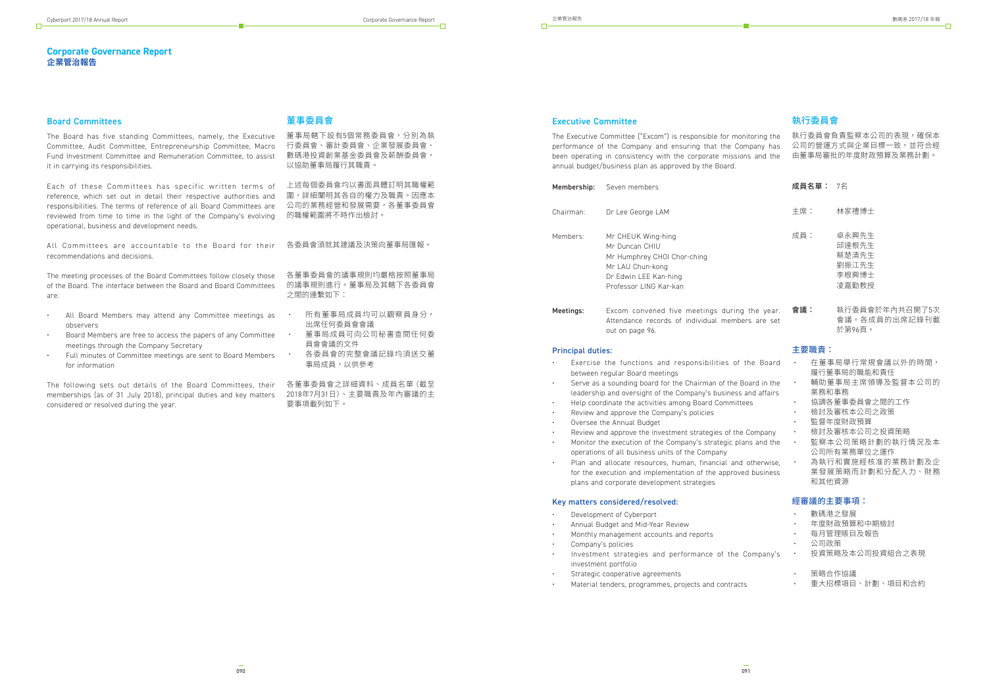### **Corporate Governance Report 企業管治報告**

## 董事委員會

董事局轄下設有5個常務委員會,分別為執 行委員會、審計委員會、企業發展委員會、 數碼港投資創業基金委員會及薪酬委員會, 以協助董事局履行其職責。

上述每個委員會均以書面具體訂明其職權範 圍,詳細闡明其各自的權力及職責。因應本 公司的業務經營和發展需要,各董事委員會 的職權範圍將不時作出檢討。

各董事委員會的議事規則均嚴格按照董事局 的議事規則進行。董事局及其轄下各委員會 之間的連繫如下:

- 所有董事局成員均可以觀察員身分, 出席任何委員會會議
- 董事局成員可向公司秘書查閱任何委 員會會議的文件
- 各委員會的完整會議記錄均須送交董 事局成員,以供參考

要事項載列如下。

#### Board Committees

All Committees are accountable to the Board for their 各委員會須就其建議及決策向重事局進報。 recommendations and decisions.

The Board has five standing Committees, namely, the Executive Committee, Audit Committee, Entrepreneurship Committee, Macro Fund Investment Committee and Remuneration Committee, to assist it in carrying its responsibilities.

The following sets out details of the Board Committees, their 各重事委員會之詳細資料、成員名單(截至 memberships (as of 31 July 2018), principal duties and key matters 2018年7月31日)、主要職責及年內審議的主 considered or resolved during the year.

Each of these Committees has specific written terms of reference, which set out in detail their respective authorities and responsibilities. The terms of reference of all Board Committees are reviewed from time to time in the light of the Company's evolving operational, business and development needs.

- 主席: 林家禮博士
- 成員: 卓永興先生 邱達根先生 蔡楚清先生 劉振江先生 李根興博士 凌嘉勤教授
- 會議: 執行委員會於年內共召開了5次 會議。各成員的出席記錄刊載 於第96頁。 g the year. bers are set

| he Board                   | 在董事局舉行常規會議以外的時間,<br>履行董事局的職能和責任               |
|----------------------------|-----------------------------------------------|
| bard in the<br>and affairs | 輔助董事局主席領導及監督本公司的<br>業務和事務                     |
| es                         | 協調各董事委員會之間的工作                                 |
|                            | 檢討及審核本公司之政策                                   |
|                            | 監督年度財政預算                                      |
| Company                    | 檢討及審核本公司之投資策略                                 |
| ns and the                 | 監察本公司策略計劃的執行情況及本<br>公司所有業務單位之運作               |
| otherwise,<br>d business   | 為執行和實施經核准的業務計劃及企<br>業發展策略而計劃和分配人力、財務<br>和其他資源 |
|                            | 經審議的主要事項:                                     |
|                            | 數碼港之發展                                        |
|                            | 年度財政預算和中期檢討                                   |
|                            | 每月管理賬目及報告                                     |
|                            | 公司政策                                          |
| ompany's                   | 投資策略及本公司投資組合之表現                               |
|                            | 策略合作協議                                        |

The meeting processes of the Board Committees follow closely those of the Board. The interface between the Board and Board Committees are:

- All Board Members may attend any Committee meetings as observers
- Board Members are free to access the papers of any Committee meetings through the Company Secretary
- Full minutes of Committee meetings are sent to Board Members for information

## 執行委員會

- Exercise the functions and responsibilities of t between regular Board meetings
- Serve as a sounding board for the Chairman of the Board leadership and oversight of the Company's business and affairs
- Help coordinate the activities among Board Committee
- Review and approve the Company's policies
- Oversee the Annual Budget
- Review and approve the investment strategies of the
- Monitor the execution of the Company's strategic plan operations of all business units of the Company
- Plan and allocate resources, human, financial and for the execution and implementation of the approved plans and corporate development strategies

#### 成員名單: 7名

主要職責:

執行委員會負責監察本公司的表現,確保本 公司的營運方式與企業目標一致,並符合經 由董事局審批的年度財政預算及業務計劃。 The Executive Committee ("Excom") is responsible for monitoring the performance of the Company and ensuring that the Company has been operating in consistency with the corporate missions and the annual budget/business plan as approved by the Board.

#### Executive Committee

| Membership:           | Seven members                                                                                                                              |  |  |
|-----------------------|--------------------------------------------------------------------------------------------------------------------------------------------|--|--|
| Chairman <sup>.</sup> | Dr Lee George LAM                                                                                                                          |  |  |
| Members:              | Mr CHEUK Wing-hing<br>Mr Duncan CHIU<br>Mr Humphrey CHOI Chor-ching<br>Mr LAU Chun-kong<br>Dr Edwin LEE Kan-hing<br>Professor LING Kar-kan |  |  |
| Meetings:             | Excom convened five meetings during<br>Attendance records of individual memb<br>out on page 96.                                            |  |  |

#### Principal duties:

- Development of Cyberport
- Annual Budget and Mid-Year Review
- Monthly management accounts and reports
- Company's policies
- Investment strategies and performance of the Company's investment portfolio
- Strategic cooperative agreements
- 重大招標項目、計劃、項目和合約 • Material tenders, programmes, projects and contracts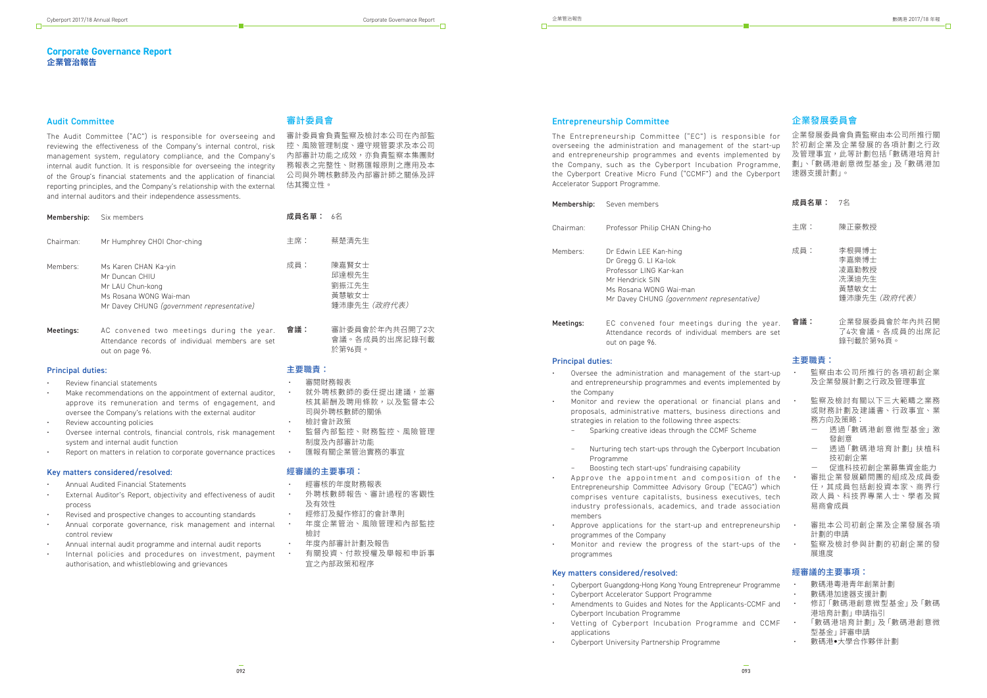#### **Corporate Governance Report 企業管治報告**

## 審計委員會

審計委員會負責監察及檢討本公司在內部監 控、風險管理制度、遵守規管要求及本公司 內部審計功能之成效,亦負責監察本集團財 務報表之完整性、財務匯報原則之應用及本 公司與外聘核數師及內部審計師之關係及評 估其獨立性。

• 就外聘核數師的委任提出建議,並審 核其薪酬及聘用條款,以及監督本公

會議。各成員的出席記錄刊載

於第96頁。

主要職責:

• 審閱財務報表

• 檢討會計政策<br>• 監督內部監控

司與外聘核數師的關係

• 監督內部監控、財務監控、風險管理

制度及內部審計功能

經審議的主要事項:

• 經審核的年度財務報表

• 經修訂及擬作修訂的會計準則<br>• 年度企業管治、風險管理和

• 年度內部審計計劃及報告<br>• 有關投資、付款授權及

• 外聘核數師報告、審計過程的客觀性

及有效性

• 年度企業管治、風險管理和內部監控

檢討

• 有關投資、付款授權及舉報和申訴事

宜之內部政策和程序

匯報有關企業管治實務的事官

#### Audit Committee

#### 成員名單: 6名 主席: 蔡楚清先生 成員: 陳嘉賢女士 邱達根先生 劉振江先生 黃慧敏女士 鍾沛康先生(政府代表) Membership: Six members Chairman: Mr Humphrey CHOI Chor-ching Members: Ms Karen CHAN Ka-yin Mr Duncan CHIU Mr LAU Chun-kong Ms Rosana WONG Wai-man Mr Davey CHUNG *(government representative)*

The Audit Committee ("AC") is responsible for overseeing and reviewing the effectiveness of the Company's internal control, risk management system, regulatory compliance, and the Company's internal audit function. It is responsible for overseeing the integrity of the Group's financial statements and the application of financial reporting principles, and the Company's relationship with the external and internal auditors and their independence assessments.

會議: 審計委員會於年內共召開了2次 Meetings: AC convened two meetings during the year. Attendance records of individual members are set out on page 96.

- Review financial statements
- Make recommendations on the appointment of external auditor, approve its remuneration and terms of engagement, and oversee the Company's relations with the external auditor
- Review accounting policies
- Oversee internal controls, financial controls, risk management system and internal audit function
- Report on matters in relation to corporate governance practices
- 主席: 陳正豪教授
- 成員: 李根興博士 李嘉樂博士 凌嘉勤教授 冼漢迪先生 黃慧敏女士 鍾沛康先生(政府代表)
- 會議: 企業發展委員會於年內共召開 了4次會議。各成員的出席記 錄刊載於第96頁。 the year. ders are set

- 透過「數碼港創意微型基金」激 發創意
- 透過「數碼港培育計劃」扶植科 技初創企業

#### Principal duties:

#### Key matters considered/resolved:

- Annual Audited Financial Statements
- External Auditor's Report, objectivity and effectiveness of audit process
- Revised and prospective changes to accounting standards
- Annual corporate governance, risk management and internal control review
- Annual internal audit programme and internal audit reports
- Internal policies and procedures on investment, payment authorisation, and whistleblowing and grievances
- 監察由本公司所推行的各項初創企業 及企業發展計劃之行政及管理事宜 監察及檢討有關以下三大範疇之業務 或財務計劃及建議書、行政事宜、業 務方向及策略: Oversee the administration and management of the start-up and entrepreneurship programmes and events implemented by the Company Monitor and review the operational or financial plans and  $\cdot$ proposals, administrative matters, business directions and strategies in relation to the following three aspects:
- - Sparking creative ideas through the CCMF Scheme
	- Nurturing tech start-ups through the Cyberport Incubation Programme
	- Boosting tech start-ups' fundraising capability
- 促進科技初創企業募集資金能力 • 審批企業發展顧問團的組成及成員委 任,其成員包括創投資本家、商界行 政人員、科技界專業人士、學者及貿 易商會成員 • Approve the appointment and composition of the Entrepreneurship Committee Advisory Group ("ECAG") which comprises venture capitalists, business executives, tech industry professionals, academics, and trade association members
- 審批本公司初創企業及企業發展各項 計劃的申請 Approve applications for the start-up and entrepreneurship  $\cdot$ programmes of the Company
- 監察及檢討參與計劃的初創企業的發 展進度 • Monitor and review the progress of the start-ups of the programmes

#### 企業發展委員會

#### 成員名單: 7名

- Cyberport Guangdong-Hong Kong Young Entrepreneur Programment
- Cyberport Accelerator Support Programme
- Amendments to Guides and Notes for the Applicants-Cyberport Incubation Programme
- Vetting of Cyberport Incubation Programme a applications
- Cyberport University Partnership Programme

#### 主要職責:

企業發展委員會負責監察由本公司所推行關 於初創企業及企業發展的各項計劃之行政 及管理事宜,此等計劃包括「數碼港培育計 劃」、「數碼港創意微型基金」及「數碼港加 速器支援計劃」。 The Entrepreneurship Committee ("EC") is responsible for overseeing the administration and management of the start-up and entrepreneurship programmes and events implemented by the Company, such as the Cyberport Incubation Programme, the Cyberport Creative Micro Fund ("CCMF") and the Cyberport Accelerator Support Programme.

#### 經審議的主要事項:

| rogramme | $\bullet$     | 數碼港粵港青年創業計劃          |
|----------|---------------|----------------------|
|          | $\bullet$     | 數碼港加速器支援計劃           |
| CCMF and | $\sim$ $\sim$ | 修訂 「數碼港創意微型基金」 及 「數碼 |
|          |               | 港培育計劃   申請指引         |
| nd CCMF  | $\sim$ $\sim$ | 「數碼港培育計劃」及「數碼港創意微    |
|          |               | 型基金   評審申請           |
|          |               | 數碼港●大學合作夥伴計劃         |

## Entrepreneurship Committee

| Membership: | Seven members                                                                                                                                                       |
|-------------|---------------------------------------------------------------------------------------------------------------------------------------------------------------------|
| Chairman:   | Professor Philip CHAN Ching-ho                                                                                                                                      |
| Members:    | Dr Edwin LEE Kan-hing<br>Dr Gregg G. LI Ka-lok<br>Professor LING Kar-kan<br>Mr Hendrick SIN<br>Ms Rosana WONG Wai-man<br>Mr Davey CHUNG (government representative) |
| Meetings:   | EC convened four meetings during the<br>Attendance records of individual members a<br>out on page 96.                                                               |

#### Principal duties: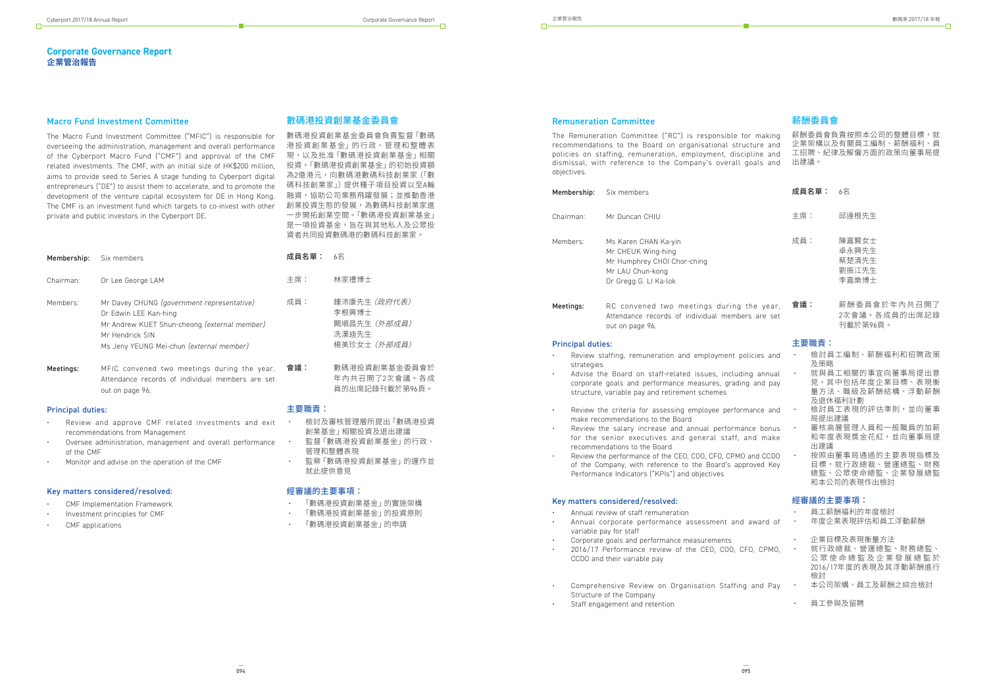## **Corporate Governance Report 企業管治報告**

## 數碼港投資創業基金委員會

數碼港投資創業基金委員會負責監督「數碼 港投資創業基金」的行政、管理和整體表 現,以及批准「數碼港投資創業基金」相關 投資。「數碼港投資創業基金」的初始投資額 為2億港元,向數碼港數碼科技創業家(「數 碼科技創業家」)提供種子項目投資以至A輪 融資,協助公司業務飛躍發展;並推動香港 創業投資生態的發展,為數碼科技創業家進 一步開拓創業空間。「數碼港投資創業基金」 是一項投資基金,旨在與其他私人及公眾投 資者共同投資數碼港的數碼科技創業家。

主要職責: • 檢討及審核管理層所提出「數碼港投資

- 創業基金」相關投資及退出建議 • 監督「數碼港投資創業基金」的行政、
- 管理和整體表現 監察「數碼港投資創業基金」的運作並
- 就此提供意見

#### 經審議的主要事項:

- 「數碼港投資創業基金」的實施架構
- 「數碼港投資創業基金」的投資原則
- 「數碼港投資創業基金」的申請

#### Macro Fund Investment Committee

The Macro Fund Investment Committee ("MFIC") is responsible for overseeing the administration, management and overall performance of the Cyberport Macro Fund ("CMF") and approval of the CMF related investments. The CMF, with an initial size of HK\$200 million, aims to provide seed to Series A stage funding to Cyberport digital entrepreneurs ("DE") to assist them to accelerate, and to promote the development of the venture capital ecosystem for DE in Hong Kong. The CMF is an investment fund which targets to co-invest with other private and public investors in the Cyberport DE.

| Membership: | Six members                                                                                                                                                                        | 成員名單:   | -6名                                                            |
|-------------|------------------------------------------------------------------------------------------------------------------------------------------------------------------------------------|---------|----------------------------------------------------------------|
| Chairman:   | Dr Lee George LAM                                                                                                                                                                  | 主席:     | 林家禮博士                                                          |
| Members:    | Mr Davey CHUNG (government representative)<br>Dr Edwin LEE Kan-hing<br>Mr Andrew KUET Shun-cheong (external member)<br>Mr Hendrick SIN<br>Ms Jeny YEUNG Mei-chun (external member) | 成員:     | 鍾沛康先生 (政府代表)<br>李根興博士<br>闕順昌先生 (外部成員)<br>洗漢迪先生<br>楊美珍女士 (外部成員) |
| Meetings:   | MFIC convened two meetings during the year.<br>Attendance records of individual members are set<br>out on page 96.                                                                 | 會議:     | 數碼港投資創業基金委員會於<br>年內共召開了2次會議。各成<br>員的出席記錄刊載於第96頁。               |
| .           |                                                                                                                                                                                    | → 而碰圭 ・ |                                                                |

- 主席: 邱達根先生
- 成員: 陳嘉賢女士 卓永興先生 蔡楚清先生 劉振江先生 李嘉樂博士
- 會議: 薪酬委員會於年內共召開了 2次會議。各成員的出席記錄 刊載於第96頁。 ers are set

#### Principal duties:

- Review and approve CMF related investments and exit recommendations from Management
- Oversee administration, management and overall performance of the CMF
- Monitor and advise on the operation of the CMF

#### Key matters considered/resolved:

- Review staffing, remuneration and employment po strategies
- Advise the Board on staff-related issues, includir corporate goals and performance measures, grading structure, variable pay and retirement schemes
- Review the criteria for assessing employee perform make recommendations to the Board
- Review the salary increase and annual performan for the senior executives and general staff, and recommendations to the Board
- Review the performance of the CEO, COO, CFO, CPMO of the Company, with reference to the Board's approximate Performance Indicators ("KPIs") and objectives

- Annual review of staff remuneration
- Annual corporate performance assessment and variable pay for staff
- Corporate goals and performance measurements
- 2016/17 Performance review of the CEO, COO, CF CCDO and their variable pay
- Comprehensive Review on Organisation Staffing and Pay Structure of the Company
- Staff engagement and retention
- CMF Implementation Framework
- Investment principles for CMF
- CMF applications

## 薪酬委員會

#### 成員名單: 6名

#### 主要職責:

| licies and             |           | 檢討員工編制、薪酬福利和招聘政策<br>及策略                                                 |  |  |  |  |
|------------------------|-----------|-------------------------------------------------------------------------|--|--|--|--|
| ng annual<br>g and pay |           | 就與員工相關的事宜向董事局提出意<br>見,其中包括年度企業目標、表現衡<br>暈方法、職級及薪酬結構、浮動薪酬                |  |  |  |  |
| hance and              |           | 及狠休福利計劃<br>檢討員工表現的評估準則,並向董事<br>局提出建議                                    |  |  |  |  |
| nce bonus<br>ind make  |           | 審核高層管理人員和一般職員的加薪<br>和年度表現獎金花紅,並向董事局提<br>出建議                             |  |  |  |  |
| and CCDO<br>roved Key  |           | 按照由董事局通過的主要表現指標及<br>目標,就行政總裁、營運總監、財務<br>總監、公眾使命總監、企業發展總監<br>和本公司的表現作出檢討 |  |  |  |  |
|                        |           | 經審議的主要事項:                                                               |  |  |  |  |
| award of               |           | 員工薪酬福利的年度檢討<br>年度企業表現評估和員工浮動薪酬                                          |  |  |  |  |
| O, CPMO,               | $\bullet$ | 企業目標及表現衡量方法<br>就行政總裁、營運總監、財務總監、                                         |  |  |  |  |

薪酬委員會負責按照本公司的整體目標,就 企業架構以及有關員工編制、薪酬福利、員 工招聘、紀律及解僱方面的政策向董事局提 出建議。 The Remuneration Committee ("RC") is responsible for making recommendations to the Board on organisational structure and policies on staffing, remuneration, employment, discipline and dismissal, with reference to the Company's overall goals and objectives.

> 公眾使命總監及企業發展總監於 2016/17年度的表現及其浮動薪酬進行

檢討 • 本公司架構、員工及薪酬之綜合檢討

• 員工參與及留聘

#### Remuneration Committee

| Membership: | Six members                                                                                                            |
|-------------|------------------------------------------------------------------------------------------------------------------------|
| Chairman:   | Mr Duncan CHIU                                                                                                         |
| Members:    | Ms Karen CHAN Ka-yin<br>Mr CHEUK Wing-hing<br>Mr Humphrey CHOI Chor-ching<br>Mr LAU Chun-kong<br>Dr Gregg G. LI Ka-lok |
| Meetings:   | RC convened two meetings during the year.<br>Attendance records of individual members are set<br>out on page 96.       |

#### Principal duties: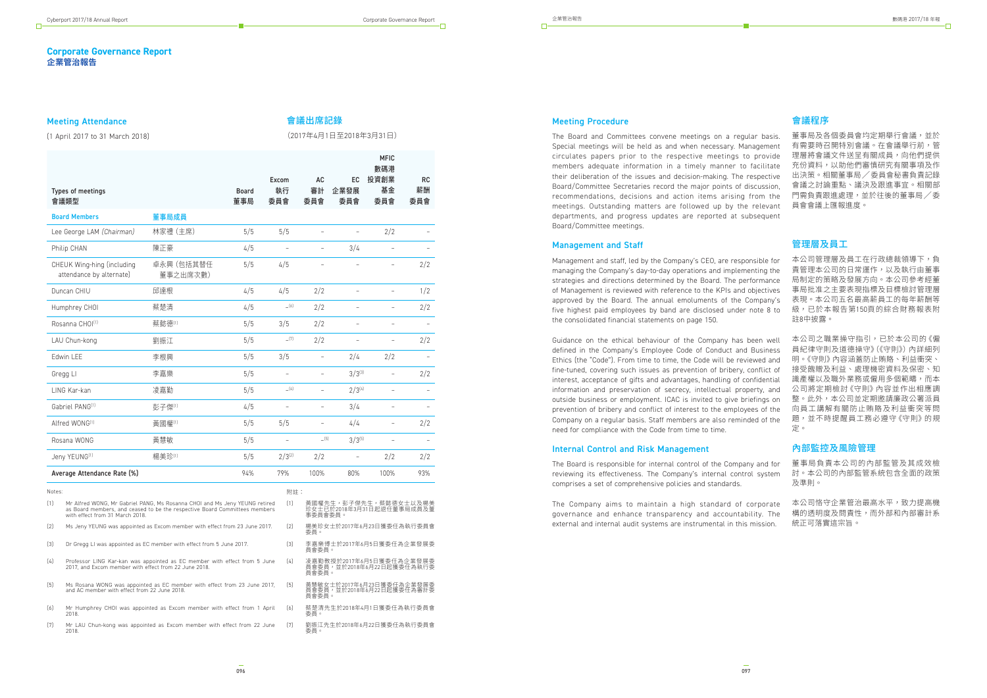#### **Corporate Governance Report 企業管治報告**

#### Types of meetings 會議類型 Board 董事局 Excom 執行 委員會 AC 審計 委員會 EC 企業發展 委員會 MFIC 數碼港 投資創業 基金 委員會 RC 薪酬 委員會 Board Members **董事局成員** Lee George LAM *(Chairman)* 林家禮 (主席) 5/5 5/5 – – – 2/2 – Philip CHAN 陳正豪 4/5 – – 3/4 – – CHEUK Wing-hing (including attendance by alternate) 卓永興(包括其替任 董事之出席次數) 5/5 4/5 – – – 2/2 Duncan CHIU 邱達根 4/5 4/5 2/2 – – 1/2 Humphrey CHOI 蔡楚清 4/5 <sup>60</sup> 2/2 2/2 Rosanna CHOI<sup>(1)</sup> 蔡懿德<sup>(1)</sup> 5/5 3/5 2/2 - -LAU Chun-kong 劉振江 5/5 <sup>cn</sup> 2/2 - 2/2 Edwin LEE 李根興 5/5 3/5 – 2/4 2/2 – Gregg LI 李嘉樂 5/5 – – 3/3(3) – 2/2 LING Kar-kan 凌嘉勤 5/5 –(4) – 2/3(4) – – Gabriel PANG<sup>(1)</sup> 彭子傑<sup>(1)</sup> 4/5 - 3/4 - -Alfred WONG(1) 黃國權(1) 5/5 5/5 – 4/4 – 2/2 Rosana WONG 黃慧敏 5/5 – –(5) 3/3(5) – – Jeny YEUNG<sup>(1)</sup> 5/5 2/3<sup>(2)</sup> 2/2 2/2 2/2 Average Attendance Rate (%) <br>
23% 93% 93% 93% 93% 93% 93% 93% 93%

## 會議出席記錄

#### (2017年4月1日至2018年3月31日)

#### Meeting Attendance

(1 April 2017 to 31 March 2018)

Notes:

本公司管理層及員工在行政總裁領導下,負 責管理本公司的日常運作,以及執行由董事 局制定的策略及發展方向。本公司參考經董 事局批准之主要表現指標及目標檢討管理層 表現。本公司五名最高薪員工的每年薪酬等 級,已於本報告第150頁的綜合財務報表附 註8中披露。

- (1) Mr Alfred WONG, Mr Gabriel PANG, Ms Rosanna CHOI and Ms Jeny YEUNG retired as Board members, and ceased to be the respective Board Committees members with effect from 31 March 2018.
- (2) Ms Jeny YEUNG was appointed as Excom member with effect from 23 June 2017.
- (3) Dr Gregg LI was appointed as EC member with effect from 5 June 2017.
- (4) Professor LING Kar-kan was appointed as EC member with effect from 5 June 2017, and Excom member with effect from 22 June 2018.
- (5) Ms Rosana WONG was appointed as EC member with effect from 23 June 2017, and AC member with effect from 22 June 2018.
- (6) Mr Humphrey CHOI was appointed as Excom member with effect from 1 April 2018.
- (7) Mr LAU Chun-kong was appointed as Excom member with effect from 22 June 2018.

附註:

(1) 黃國權先生,彭子傑先生,蔡懿德女士以及楊美 珍女士已於2018年3月31日起退任董事局成員及董

事委員會委員。

(2) 楊美珍女士於2017年6月23日獲委任為執行委員會

委員。

(3) 李嘉樂博士於2017年6月5日獲委任為企業發展委 員會委員。

(4) 凌嘉勤教授於2017年6月5日獲委任為企業發展委 員會委員,並於2018年6月22日起獲委任為執行委

員會委員。

(5) 黃慧敏女士於2017年6月23日獲委任為企業發展委 員會委員,並於2018年6月22日起獲委任為審計委 員會委員。

(6) 蔡楚清先生於2018年4月1日獲委任為執行委員會

委員。

(7) 劉振江先生於2018年6月22日獲委任為執行委員會 委員。

#### 會議程序

董事局及各個委員會均定期舉行會議,並於 有需要時召開特別會議。在會議舉行前,管 理層將會議文件送呈有關成員,向他們提供 充份資料,以助他們審慎研究有關事項及作 出決策。相關董事局╱委員會秘書負責記錄 會議之討論重點、議決及跟進事宜。相關部 門需負責跟進處理,並於往後的董事局╱委 員會會議上匯報進度。

#### 管理層及員工

本公司之職業操守指引,已於本公司的《僱 員紀律守則及道德操守》(《守則》)內詳細列 明。《守則》內容涵蓋防止賄賂、利益衝突、 接受餽贈及利益、處理機密資料及保密、知 識產權以及職外業務或僱用多個範疇,而本 公司將定期檢討《守則》內容並作出相應調 整。此外,本公司並定期邀請廉政公署派員 向員工講解有關防止賄賂及利益衝突等問 題,並不時提醒員工務必遵守《守則》的規 定。

#### 內部監控及風險管理

董事局負責本公司的內部監管及其成效檢 討。本公司的內部監管系統包含全面的政策 及準則。

本公司恪守企業管治最高水平,致力提高機 構的透明度及問責性,而外部和內部審計系 統正可落實這宗旨。

| <b>Meeting Procedure</b> |  |  |  |
|--------------------------|--|--|--|
|                          |  |  |  |

The Board and Committees convene meetings on a regular basis. Special meetings will be held as and when necessary. Management circulates papers prior to the respective meetings to provide members adequate information in a timely manner to facilitate their deliberation of the issues and decision-making. The respective Board/Committee Secretaries record the major points of discussion, recommendations, decisions and action items arising from the meetings. Outstanding matters are followed up by the relevant departments, and progress updates are reported at subsequent Board/Committee meetings.

#### Management and Staff

Management and staff, led by the Company's CEO, are responsible for managing the Company's day-to-day operations and implementing the strategies and directions determined by the Board. The performance of Management is reviewed with reference to the KPIs and objectives approved by the Board. The annual emoluments of the Company's five highest paid employees by band are disclosed under note 8 to the consolidated financial statements on page 150.

Guidance on the ethical behaviour of the Company has been well defined in the Company's Employee Code of Conduct and Business Ethics (the "Code"). From time to time, the Code will be reviewed and fine-tuned, covering such issues as prevention of bribery, conflict of interest, acceptance of gifts and advantages, handling of confidential information and preservation of secrecy, intellectual property, and outside business or employment. ICAC is invited to give briefings on prevention of bribery and conflict of interest to the employees of the Company on a regular basis. Staff members are also reminded of the need for compliance with the Code from time to time.

#### Internal Control and Risk Management

The Board is responsible for internal control of the Company and for reviewing its effectiveness. The Company's internal control system comprises a set of comprehensive policies and standards.

The Company aims to maintain a high standard of corporate governance and enhance transparency and accountability. The external and internal audit systems are instrumental in this mission.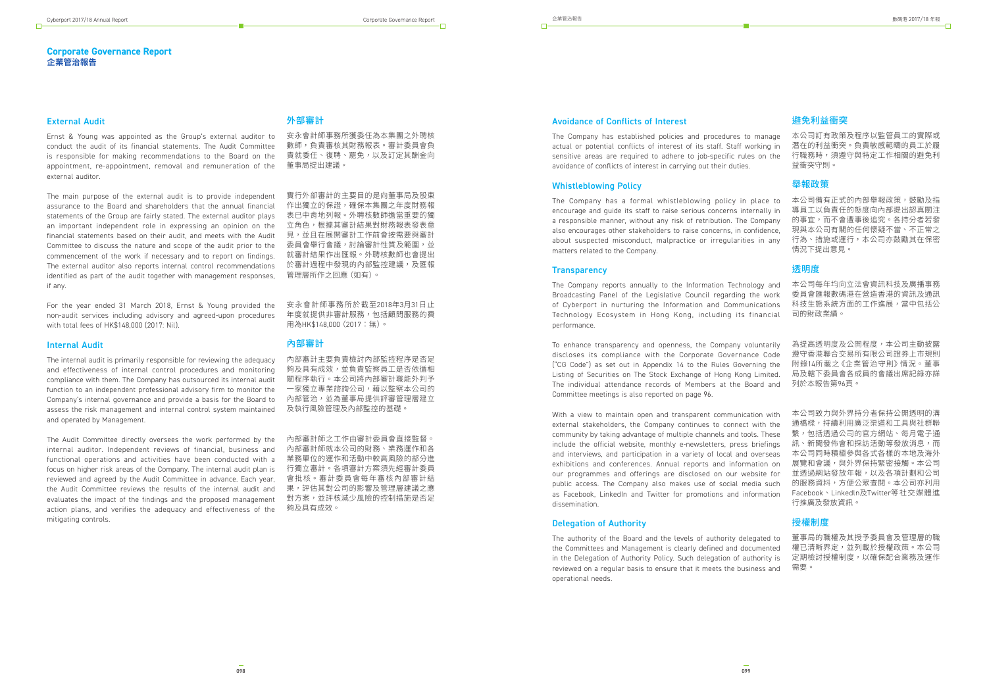#### **Corporate Governance Report 企業管治報告**

## 外部審計

安永會計師事務所獲委任為本集團之外聘核 數師,負責審核其財務報表。審計委員會負 責就委任、復聘、罷免,以及訂定其酬金向 董事局提出建議。

實行外部審計的主要目的是向董事局及股東 作出獨立的保證,確保本集團之年度財務報 表已中肯地列報。外聘核數師擔當重要的獨 立角色,根據其審計結果對財務報表發表意 見,並且在展開審計工作前會按需要與審計 委員會舉行會議,討論審計性質及範圍,並 就審計結果作出匯報。外聘核數師也會提出 於審計過程中發現的內部監控建議,及匯報 管理層所作之回應(如有)。

安永會計師事務所於截至2018年3月31日止 年度就提供非審計服務,包括顧問服務的費 用為HK\$148,000(2017:無)。

## 內部審計

內部審計主要負責檢討內部監控程序是否足 夠及具有成效,並負責監察員工是否依循相 關程序執行。本公司將內部審計職能外判予 一家獨立專業諮詢公司,藉以監察本公司的 內部管治,並為董事局提供評審管理層建立 及執行風險管理及內部監控的基礎。

內部審計師之工作由審計委員會直接監督。 內部審計師就本公司的財務、業務運作和各 業務單位的運作和活動中較高風險的部分進 行獨立審計。各項審計方案須先經審計委員 會批核。審計委員會每年審核內部審計結 果,評估其對公司的影響及管理層建議之應 對方案,並評核減少風險的控制措施是否足 夠及具有成效。

#### External Audit

Ernst & Young was appointed as the Group's external auditor to conduct the audit of its financial statements. The Audit Committee is responsible for making recommendations to the Board on the appointment, re-appointment, removal and remuneration of the external auditor.

The main purpose of the external audit is to provide independent assurance to the Board and shareholders that the annual financial statements of the Group are fairly stated. The external auditor plays an important independent role in expressing an opinion on the financial statements based on their audit, and meets with the Audit Committee to discuss the nature and scope of the audit prior to the commencement of the work if necessary and to report on findings. The external auditor also reports internal control recommendations identified as part of the audit together with management responses, if any.

For the year ended 31 March 2018, Ernst & Young provided the non-audit services including advisory and agreed-upon procedures with total fees of HK\$148,000 (2017: Nil).

#### Internal Audit

The internal audit is primarily responsible for reviewing the adequacy and effectiveness of internal control procedures and monitoring compliance with them. The Company has outsourced its internal audit function to an independent professional advisory firm to monitor the Company's internal governance and provide a basis for the Board to assess the risk management and internal control system maintained and operated by Management.

The Audit Committee directly oversees the work performed by the internal auditor. Independent reviews of financial, business and functional operations and activities have been conducted with a focus on higher risk areas of the Company. The internal audit plan is reviewed and agreed by the Audit Committee in advance. Each year, the Audit Committee reviews the results of the internal audit and evaluates the impact of the findings and the proposed management action plans, and verifies the adequacy and effectiveness of the mitigating controls.

With a view to maintain open and transparent communication with external stakeholders, the Company continues to connect with the community by taking advantage of multiple channels and tools. These include the official website, monthly e-newsletters, press briefings and interviews, and participation in a variety of local and overseas exhibitions and conferences. Annual reports and information on our programmes and offerings are disclosed on our website for public access. The Company also makes use of social media such as Facebook, LinkedIn and Twitter for promotions and information dissemination.

## 避免利益衝突

本公司訂有政策及程序以監管員工的實際或 潛在的利益衝突。負責敏感範疇的員工於履 行職務時,須遵守與特定工作相關的避免利 益衝突守則。

#### 舉報政策

本公司備有正式的內部舉報政策,鼓勵及指 導員工以負責任的態度向內部提出認真關注 的事宜,而不會遭事後追究。各持分者若發 現與本公司有關的任何懷疑不當、不正常之 行為、措施或運行,本公司亦鼓勵其在保密 情況下提出意見。

#### 透明度

本公司每年均向立法會資訊科技及廣播事務 委員會匯報數碼港在營造香港的資訊及通訊 科技生態系統方面的工作進展,當中包括公 司的財政業績。

為提高透明度及公開程度,本公司主動披露 遵守香港聯合交易所有限公司證券上市規則 附錄14所載之《企業管治守則》情況。董事 局及轄下委員會各成員的會議出席記錄亦詳 列於本報告第96頁。

本公司致力與外界持分者保持公開透明的溝 通橋樑,持續利用廣泛渠道和工具與社群聯 繫,包括透過公司的官方網站、每月電子通 訊、新聞發佈會和採訪活動等發放消息,而 本公司同時積極參與各式各樣的本地及海外 展覽和會議,與外界保持緊密接觸。本公司 並透過網站發放年報,以及各項計劃和公司 的服務資料,方便公眾查閱。本公司亦利用 Facebook、Linkedln及Twitter等社交媒體進 行推廣及發放資訊。

#### 授權制度

董事局的職權及其授予委員會及管理層的職 權已清晰界定,並列載於授權政策。本公司 定期檢討授權制度,以確保配合業務及運作 需要。

#### Avoidance of Conflicts of Interest

The Company has established policies and procedures to manage actual or potential conflicts of interest of its staff. Staff working in sensitive areas are required to adhere to job-specific rules on the avoidance of conflicts of interest in carrying out their duties.

#### Whistleblowing Policy

The Company has a formal whistleblowing policy in place to encourage and guide its staff to raise serious concerns internally in a responsible manner, without any risk of retribution. The Company also encourages other stakeholders to raise concerns, in confidence, about suspected misconduct, malpractice or irregularities in any matters related to the Company.

#### **Transparency**

The Company reports annually to the Information Technology and Broadcasting Panel of the Legislative Council regarding the work of Cyberport in nurturing the Information and Communications Technology Ecosystem in Hong Kong, including its financial performance.

To enhance transparency and openness, the Company voluntarily discloses its compliance with the Corporate Governance Code ("CG Code") as set out in Appendix 14 to the Rules Governing the Listing of Securities on The Stock Exchange of Hong Kong Limited. The individual attendance records of Members at the Board and Committee meetings is also reported on page 96.

### Delegation of Authority

The authority of the Board and the levels of authority delegated to the Committees and Management is clearly defined and documented in the Delegation of Authority Policy. Such delegation of authority is reviewed on a regular basis to ensure that it meets the business and operational needs.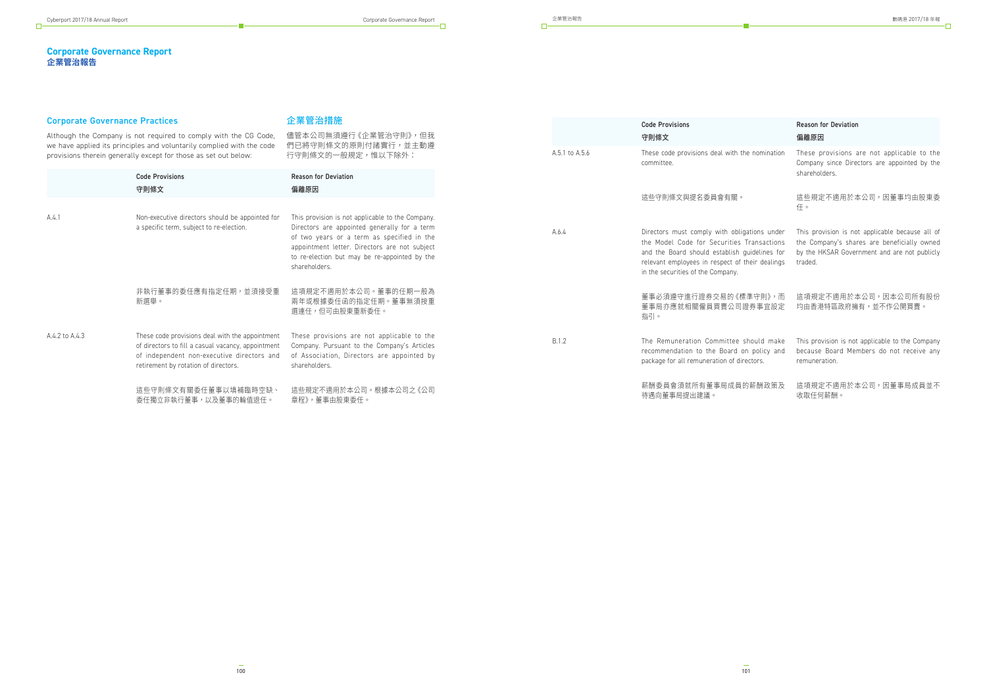#### **Corporate Governance Report 企業管治報告**

## Corporate Governance Practice

企業管治措施

| Corporate Governance Practices |                                                                                                                                                                                             | 企業官治指述                                                                                                                                                                                                                                                            |                | <b>Code Provisions</b>                                                                                                                                                                                                              |
|--------------------------------|---------------------------------------------------------------------------------------------------------------------------------------------------------------------------------------------|-------------------------------------------------------------------------------------------------------------------------------------------------------------------------------------------------------------------------------------------------------------------|----------------|-------------------------------------------------------------------------------------------------------------------------------------------------------------------------------------------------------------------------------------|
|                                | Although the Company is not required to comply with the CG Code,<br>we have applied its principles and voluntarily complied with the code                                                   | 儘管本公司無須遵行《企業管治守則》,但我<br>們已將守則條文的原則付諸實行,並主動遵                                                                                                                                                                                                                       |                | 守則條文                                                                                                                                                                                                                                |
|                                | provisions therein generally except for those as set out below:                                                                                                                             | 行守則條文的一般規定,惟以下除外:                                                                                                                                                                                                                                                 | A.5.1 to A.5.6 | These code provisions deal with the nomination<br>committee.                                                                                                                                                                        |
|                                | <b>Code Provisions</b>                                                                                                                                                                      | <b>Reason for Deviation</b>                                                                                                                                                                                                                                       |                |                                                                                                                                                                                                                                     |
|                                | 守則條文                                                                                                                                                                                        | 偏離原因                                                                                                                                                                                                                                                              |                | 狺些守則條文與提名委員會有關。                                                                                                                                                                                                                     |
| A.4.1                          | Non-executive directors should be appointed for<br>a specific term, subject to re-election.                                                                                                 | This provision is not applicable to the Company.<br>Directors are appointed generally for a term<br>of two years or a term as specified in the<br>appointment letter. Directors are not subject<br>to re-election but may be re-appointed by the<br>shareholders. | A.6.4          | Directors must comply with obligations under<br>the Model Code for Securities Transactions<br>and the Board should establish guidelines for<br>relevant employees in respect of their dealings<br>in the securities of the Company. |
|                                | 非執行董事的委任應有指定任期,並須接受重<br>新選舉。                                                                                                                                                                | 這項規定不適用於本公司。董事的任期一般為<br>兩年或根據委任函的指定任期。董事無須按重<br>選連任,但可由股東重新委任。                                                                                                                                                                                                    |                | 董事必須遵守進行證券交易的《標準守則》,而<br>董事局亦應就相關僱員買賣公司證券事宜設定<br>指引。                                                                                                                                                                                |
| A.4.2 to A.4.3                 | These code provisions deal with the appointment<br>of directors to fill a casual vacancy, appointment<br>of independent non-executive directors and<br>retirement by rotation of directors. | These provisions are not applicable to the<br>Company. Pursuant to the Company's Articles<br>of Association, Directors are appointed by<br>shareholders.                                                                                                          | B.1.2          | The Remuneration Committee should make<br>recommendation to the Board on policy and<br>package for all remuneration of directors.                                                                                                   |
|                                | 這些守則條文有關委任董事以填補臨時空缺、<br>委任獨立非執行董事,以及董事的輪值退任。                                                                                                                                                | 這些規定不適用於本公司。根據本公司之《公司<br>章程》,董事由股東委任。                                                                                                                                                                                                                             |                | 薪酬委員會須就所有董事局成員的薪酬政策及<br>待遇向董事局提出建議。                                                                                                                                                                                                 |
|                                |                                                                                                                                                                                             |                                                                                                                                                                                                                                                                   |                |                                                                                                                                                                                                                                     |

 $\Box$